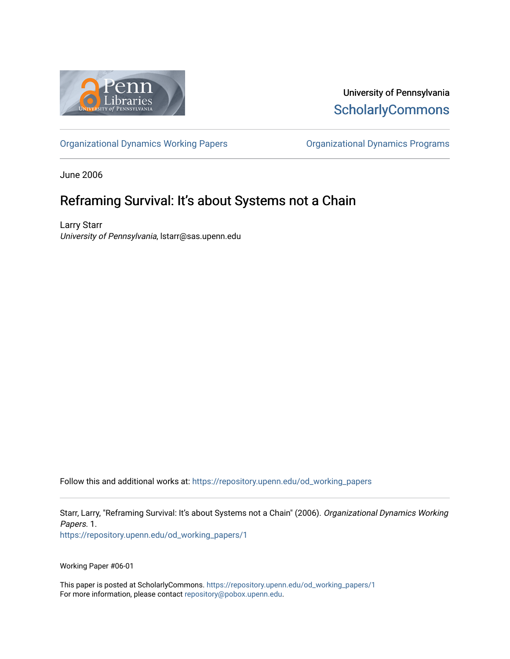

University of Pennsylvania **ScholarlyCommons** 

[Organizational Dynamics Working Papers](https://repository.upenn.edu/od_working_papers) [Organizational Dynamics Programs](https://repository.upenn.edu/organizational_dynamics) 

June 2006

# Reframing Survival: It's about Systems not a Chain

Larry Starr University of Pennsylvania, lstarr@sas.upenn.edu

Follow this and additional works at: [https://repository.upenn.edu/od\\_working\\_papers](https://repository.upenn.edu/od_working_papers?utm_source=repository.upenn.edu%2Fod_working_papers%2F1&utm_medium=PDF&utm_campaign=PDFCoverPages) 

Starr, Larry, "Reframing Survival: It's about Systems not a Chain" (2006). Organizational Dynamics Working Papers. 1. [https://repository.upenn.edu/od\\_working\\_papers/1](https://repository.upenn.edu/od_working_papers/1?utm_source=repository.upenn.edu%2Fod_working_papers%2F1&utm_medium=PDF&utm_campaign=PDFCoverPages) 

Working Paper #06-01

This paper is posted at ScholarlyCommons. [https://repository.upenn.edu/od\\_working\\_papers/1](https://repository.upenn.edu/od_working_papers/1) For more information, please contact [repository@pobox.upenn.edu.](mailto:repository@pobox.upenn.edu)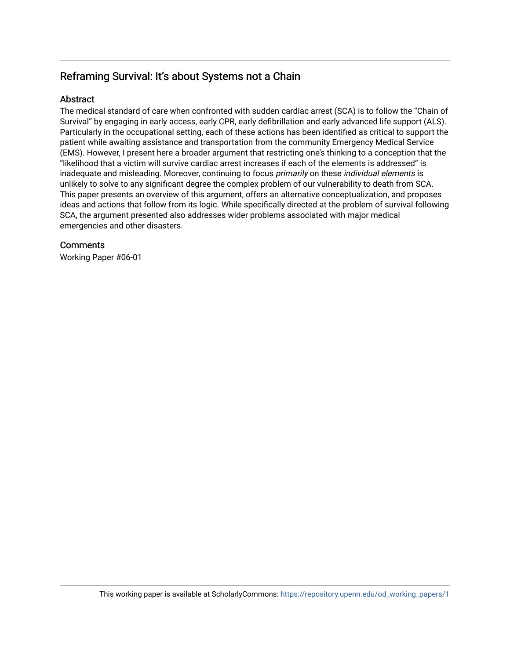# Reframing Survival: It's about Systems not a Chain

## **Abstract**

The medical standard of care when confronted with sudden cardiac arrest (SCA) is to follow the "Chain of Survival" by engaging in early access, early CPR, early defibrillation and early advanced life support (ALS). Particularly in the occupational setting, each of these actions has been identified as critical to support the patient while awaiting assistance and transportation from the community Emergency Medical Service (EMS). However, I present here a broader argument that restricting one's thinking to a conception that the "likelihood that a victim will survive cardiac arrest increases if each of the elements is addressed" is inadequate and misleading. Moreover, continuing to focus primarily on these individual elements is unlikely to solve to any significant degree the complex problem of our vulnerability to death from SCA. This paper presents an overview of this argument, offers an alternative conceptualization, and proposes ideas and actions that follow from its logic. While specifically directed at the problem of survival following SCA, the argument presented also addresses wider problems associated with major medical emergencies and other disasters.

## **Comments**

Working Paper #06-01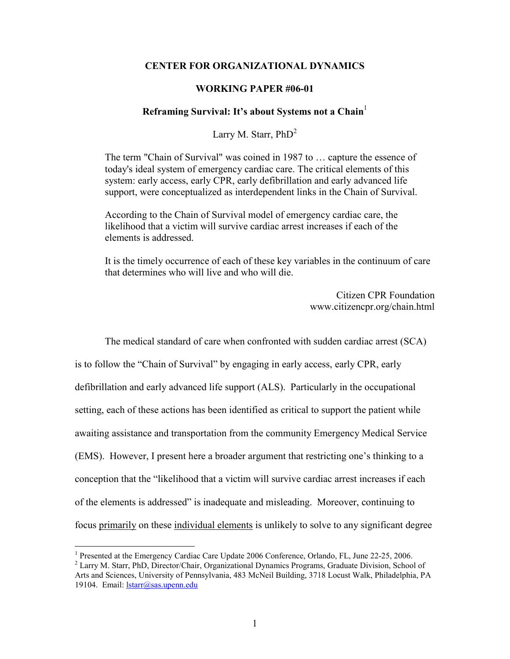#### **CENTER FOR ORGANIZATIONAL DYNAMICS**

#### **WORKING PAPER #06-01**

#### **Reframing Survival: It's about Systems not a Chain**<sup>1</sup>

Larry M. Starr,  $PhD<sup>2</sup>$ 

The term "Chain of Survival" was coined in 1987 to … capture the essence of today's ideal system of emergency cardiac care. The critical elements of this system: early access, early CPR, early defibrillation and early advanced life support, were conceptualized as interdependent links in the Chain of Survival.

According to the Chain of Survival model of emergency cardiac care, the likelihood that a victim will survive cardiac arrest increases if each of the elements is addressed.

It is the timely occurrence of each of these key variables in the continuum of care that determines who will live and who will die.

> Citizen CPR Foundation www.citizencpr.org/chain.html

The medical standard of care when confronted with sudden cardiac arrest (SCA)

is to follow the "Chain of Survival" by engaging in early access, early CPR, early defibrillation and early advanced life support (ALS). Particularly in the occupational setting, each of these actions has been identified as critical to support the patient while awaiting assistance and transportation from the community Emergency Medical Service (EMS). However, I present here a broader argument that restricting one's thinking to a conception that the "likelihood that a victim will survive cardiac arrest increases if each of the elements is addressed" is inadequate and misleading. Moreover, continuing to focus primarily on these individual elements is unlikely to solve to any significant degree

<sup>1</sup> Presented at the Emergency Cardiac Care Update 2006 Conference, Orlando, FL, June 22-25, 2006.

<sup>2</sup> Larry M. Starr, PhD, Director/Chair, Organizational Dynamics Programs, Graduate Division, School of Arts and Sciences, University of Pennsylvania, 483 McNeil Building, 3718 Locust Walk, Philadelphia, PA 19104. Email: lstarr@sas.upenn.edu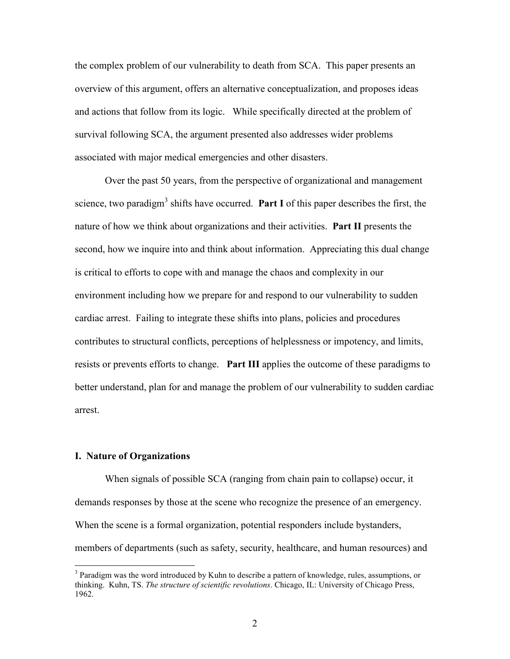the complex problem of our vulnerability to death from SCA. This paper presents an overview of this argument, offers an alternative conceptualization, and proposes ideas and actions that follow from its logic. While specifically directed at the problem of survival following SCA, the argument presented also addresses wider problems associated with major medical emergencies and other disasters.

Over the past 50 years, from the perspective of organizational and management science, two paradigm<sup>3</sup> shifts have occurred. **Part I** of this paper describes the first, the nature of how we think about organizations and their activities. **Part II** presents the second, how we inquire into and think about information. Appreciating this dual change is critical to efforts to cope with and manage the chaos and complexity in our environment including how we prepare for and respond to our vulnerability to sudden cardiac arrest. Failing to integrate these shifts into plans, policies and procedures contributes to structural conflicts, perceptions of helplessness or impotency, and limits, resists or prevents efforts to change. **Part III** applies the outcome of these paradigms to better understand, plan for and manage the problem of our vulnerability to sudden cardiac arrest.

#### **I. Nature of Organizations**

When signals of possible SCA (ranging from chain pain to collapse) occur, it demands responses by those at the scene who recognize the presence of an emergency. When the scene is a formal organization, potential responders include bystanders, members of departments (such as safety, security, healthcare, and human resources) and

<sup>&</sup>lt;sup>3</sup> Paradigm was the word introduced by Kuhn to describe a pattern of knowledge, rules, assumptions, or thinking. Kuhn, TS. *The structure of scientific revolutions*. Chicago, IL: University of Chicago Press, 1962.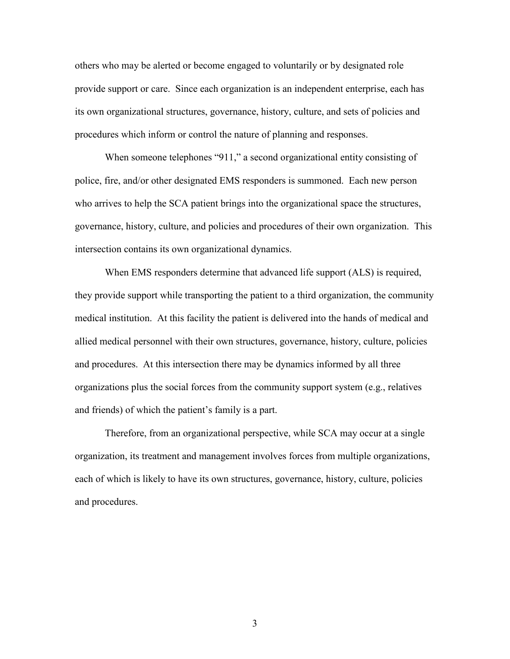others who may be alerted or become engaged to voluntarily or by designated role provide support or care. Since each organization is an independent enterprise, each has its own organizational structures, governance, history, culture, and sets of policies and procedures which inform or control the nature of planning and responses.

When someone telephones "911," a second organizational entity consisting of police, fire, and/or other designated EMS responders is summoned. Each new person who arrives to help the SCA patient brings into the organizational space the structures, governance, history, culture, and policies and procedures of their own organization. This intersection contains its own organizational dynamics.

When EMS responders determine that advanced life support (ALS) is required, they provide support while transporting the patient to a third organization, the community medical institution. At this facility the patient is delivered into the hands of medical and allied medical personnel with their own structures, governance, history, culture, policies and procedures. At this intersection there may be dynamics informed by all three organizations plus the social forces from the community support system (e.g., relatives and friends) of which the patient's family is a part.

Therefore, from an organizational perspective, while SCA may occur at a single organization, its treatment and management involves forces from multiple organizations, each of which is likely to have its own structures, governance, history, culture, policies and procedures.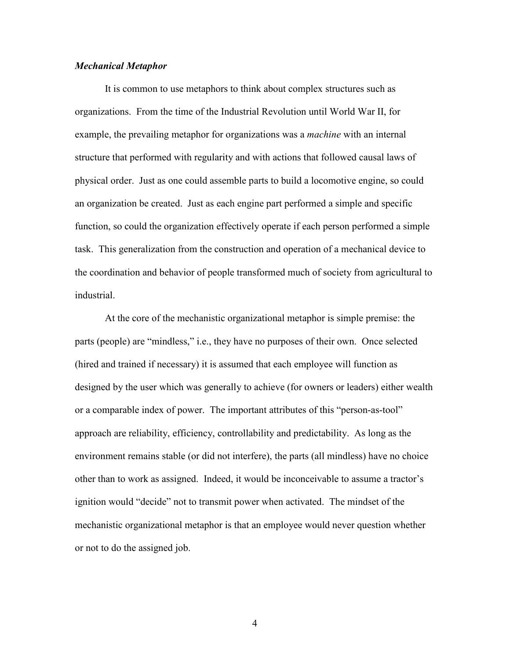#### *Mechanical Metaphor*

It is common to use metaphors to think about complex structures such as organizations. From the time of the Industrial Revolution until World War II, for example, the prevailing metaphor for organizations was a *machine* with an internal structure that performed with regularity and with actions that followed causal laws of physical order. Just as one could assemble parts to build a locomotive engine, so could an organization be created. Just as each engine part performed a simple and specific function, so could the organization effectively operate if each person performed a simple task. This generalization from the construction and operation of a mechanical device to the coordination and behavior of people transformed much of society from agricultural to industrial.

 At the core of the mechanistic organizational metaphor is simple premise: the parts (people) are "mindless," i.e., they have no purposes of their own. Once selected (hired and trained if necessary) it is assumed that each employee will function as designed by the user which was generally to achieve (for owners or leaders) either wealth or a comparable index of power. The important attributes of this "person-as-tool" approach are reliability, efficiency, controllability and predictability. As long as the environment remains stable (or did not interfere), the parts (all mindless) have no choice other than to work as assigned. Indeed, it would be inconceivable to assume a tractor's ignition would "decide" not to transmit power when activated. The mindset of the mechanistic organizational metaphor is that an employee would never question whether or not to do the assigned job.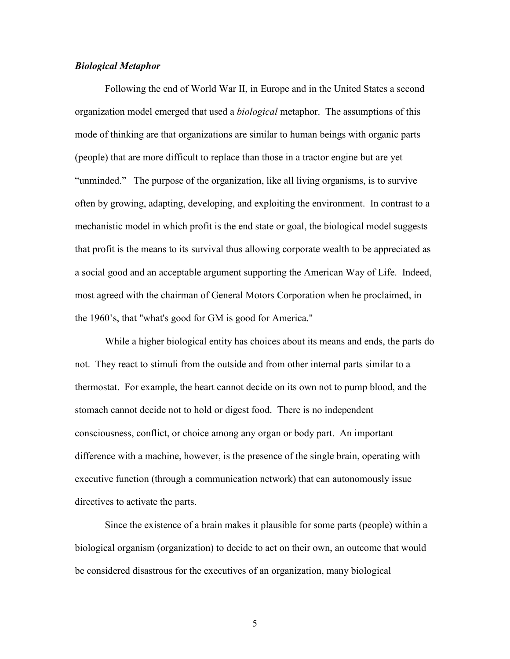#### *Biological Metaphor*

Following the end of World War II, in Europe and in the United States a second organization model emerged that used a *biological* metaphor. The assumptions of this mode of thinking are that organizations are similar to human beings with organic parts (people) that are more difficult to replace than those in a tractor engine but are yet "unminded." The purpose of the organization, like all living organisms, is to survive often by growing, adapting, developing, and exploiting the environment. In contrast to a mechanistic model in which profit is the end state or goal, the biological model suggests that profit is the means to its survival thus allowing corporate wealth to be appreciated as a social good and an acceptable argument supporting the American Way of Life. Indeed, most agreed with the chairman of General Motors Corporation when he proclaimed, in the 1960's, that "what's good for GM is good for America."

 While a higher biological entity has choices about its means and ends, the parts do not. They react to stimuli from the outside and from other internal parts similar to a thermostat. For example, the heart cannot decide on its own not to pump blood, and the stomach cannot decide not to hold or digest food. There is no independent consciousness, conflict, or choice among any organ or body part. An important difference with a machine, however, is the presence of the single brain, operating with executive function (through a communication network) that can autonomously issue directives to activate the parts.

 Since the existence of a brain makes it plausible for some parts (people) within a biological organism (organization) to decide to act on their own, an outcome that would be considered disastrous for the executives of an organization, many biological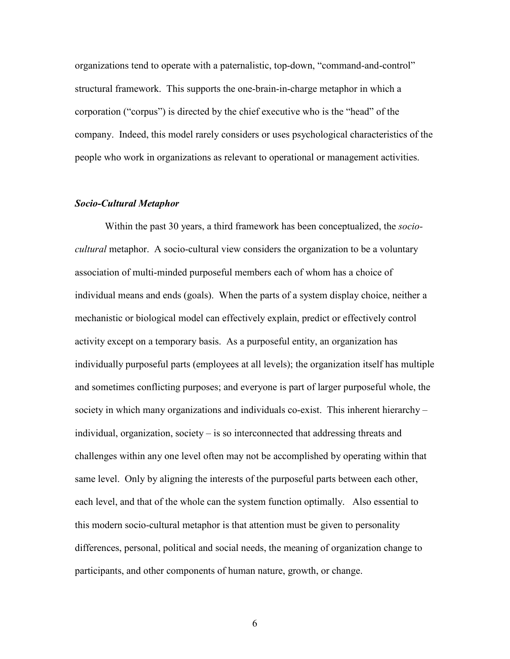organizations tend to operate with a paternalistic, top-down, "command-and-control" structural framework. This supports the one-brain-in-charge metaphor in which a corporation ("corpus") is directed by the chief executive who is the "head" of the company. Indeed, this model rarely considers or uses psychological characteristics of the people who work in organizations as relevant to operational or management activities.

#### *Socio-Cultural Metaphor*

 Within the past 30 years, a third framework has been conceptualized, the *sociocultural* metaphor. A socio-cultural view considers the organization to be a voluntary association of multi-minded purposeful members each of whom has a choice of individual means and ends (goals). When the parts of a system display choice, neither a mechanistic or biological model can effectively explain, predict or effectively control activity except on a temporary basis. As a purposeful entity, an organization has individually purposeful parts (employees at all levels); the organization itself has multiple and sometimes conflicting purposes; and everyone is part of larger purposeful whole, the society in which many organizations and individuals co-exist. This inherent hierarchy – individual, organization, society – is so interconnected that addressing threats and challenges within any one level often may not be accomplished by operating within that same level. Only by aligning the interests of the purposeful parts between each other, each level, and that of the whole can the system function optimally. Also essential to this modern socio-cultural metaphor is that attention must be given to personality differences, personal, political and social needs, the meaning of organization change to participants, and other components of human nature, growth, or change.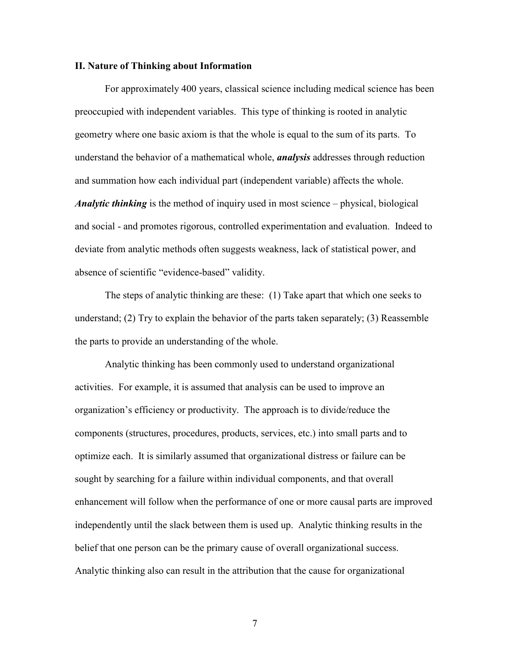#### **II. Nature of Thinking about Information**

For approximately 400 years, classical science including medical science has been preoccupied with independent variables. This type of thinking is rooted in analytic geometry where one basic axiom is that the whole is equal to the sum of its parts. To understand the behavior of a mathematical whole, *analysis* addresses through reduction and summation how each individual part (independent variable) affects the whole. *Analytic thinking* is the method of inquiry used in most science – physical, biological and social - and promotes rigorous, controlled experimentation and evaluation. Indeed to deviate from analytic methods often suggests weakness, lack of statistical power, and absence of scientific "evidence-based" validity.

 The steps of analytic thinking are these: (1) Take apart that which one seeks to understand; (2) Try to explain the behavior of the parts taken separately; (3) Reassemble the parts to provide an understanding of the whole.

Analytic thinking has been commonly used to understand organizational activities. For example, it is assumed that analysis can be used to improve an organization's efficiency or productivity. The approach is to divide/reduce the components (structures, procedures, products, services, etc.) into small parts and to optimize each. It is similarly assumed that organizational distress or failure can be sought by searching for a failure within individual components, and that overall enhancement will follow when the performance of one or more causal parts are improved independently until the slack between them is used up. Analytic thinking results in the belief that one person can be the primary cause of overall organizational success. Analytic thinking also can result in the attribution that the cause for organizational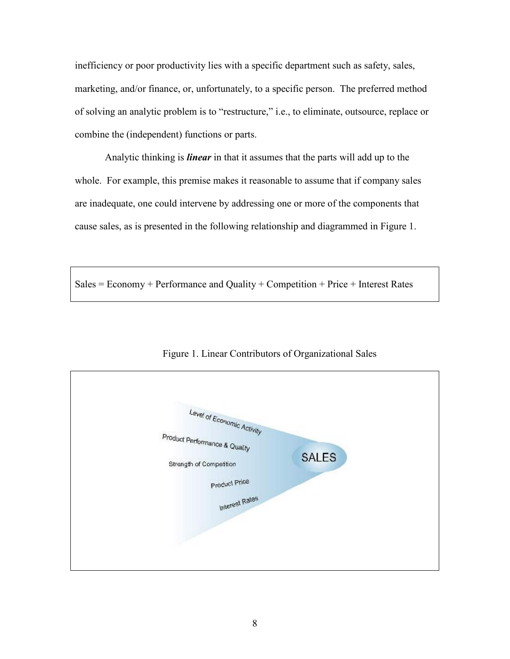inefficiency or poor productivity lies with a specific department such as safety, sales, marketing, and/or finance, or, unfortunately, to a specific person. The preferred method of solving an analytic problem is to "restructure," i.e., to eliminate, outsource, replace or combine the (independent) functions or parts.

Analytic thinking is *linear* in that it assumes that the parts will add up to the whole. For example, this premise makes it reasonable to assume that if company sales are inadequate, one could intervene by addressing one or more of the components that cause sales, as is presented in the following relationship and diagrammed in Figure 1.

 $Sales = Economy + Performance and Quality + Competition + Price + Interest Rates$ 



Figure 1. Linear Contributors of Organizational Sales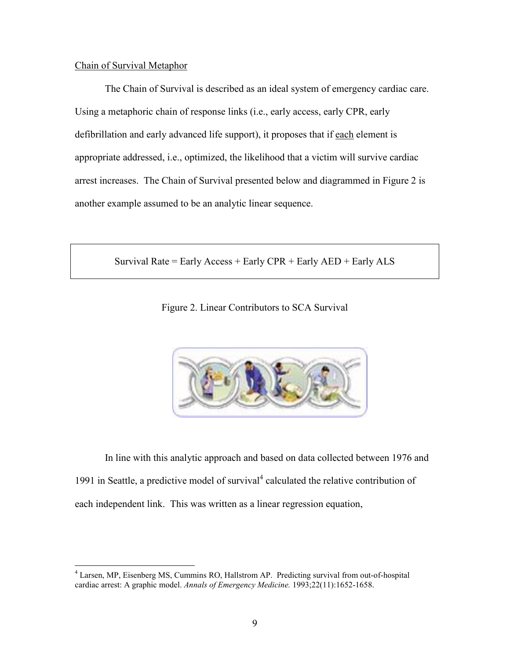## Chain of Survival Metaphor

The Chain of Survival is described as an ideal system of emergency cardiac care. Using a metaphoric chain of response links (i.e., early access, early CPR, early defibrillation and early advanced life support), it proposes that if each element is appropriate addressed, i.e., optimized, the likelihood that a victim will survive cardiac arrest increases. The Chain of Survival presented below and diagrammed in Figure 2 is another example assumed to be an analytic linear sequence.

Survival Rate = Early Access + Early  $CPR$  + Early  $AED$  + Early  $ALS$ 

Figure 2. Linear Contributors to SCA Survival



In line with this analytic approach and based on data collected between 1976 and 1991 in Seattle, a predictive model of survival<sup>4</sup> calculated the relative contribution of each independent link. This was written as a linear regression equation,

<sup>4</sup> Larsen, MP, Eisenberg MS, Cummins RO, Hallstrom AP. Predicting survival from out-of-hospital cardiac arrest: A graphic model. *Annals of Emergency Medicine.* 1993;22(11):1652-1658.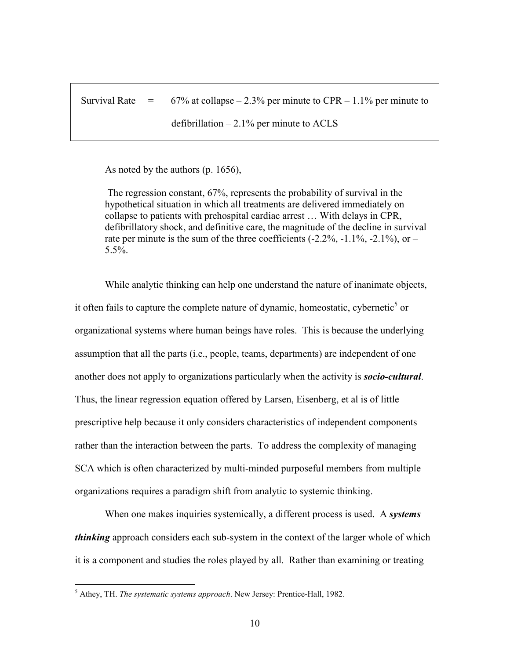Survival Rate  $=$  67% at collapse – 2.3% per minute to CPR – 1.1% per minute to

defibrillation  $-2.1\%$  per minute to ACLS

As noted by the authors (p. 1656),

The regression constant, 67%, represents the probability of survival in the hypothetical situation in which all treatments are delivered immediately on collapse to patients with prehospital cardiac arrest … With delays in CPR, defibrillatory shock, and definitive care, the magnitude of the decline in survival rate per minute is the sum of the three coefficients  $(-2.2\%, -1.1\%, -2.1\%)$ , or – 5.5%.

While analytic thinking can help one understand the nature of inanimate objects, it often fails to capture the complete nature of dynamic, homeostatic, cybernetic<sup>5</sup> or organizational systems where human beings have roles. This is because the underlying assumption that all the parts (i.e., people, teams, departments) are independent of one another does not apply to organizations particularly when the activity is *socio-cultural*. Thus, the linear regression equation offered by Larsen, Eisenberg, et al is of little prescriptive help because it only considers characteristics of independent components rather than the interaction between the parts. To address the complexity of managing SCA which is often characterized by multi-minded purposeful members from multiple organizations requires a paradigm shift from analytic to systemic thinking.

When one makes inquiries systemically, a different process is used. A *systems thinking* approach considers each sub-system in the context of the larger whole of which it is a component and studies the roles played by all. Rather than examining or treating

<sup>5</sup> Athey, TH. *The systematic systems approach*. New Jersey: Prentice-Hall, 1982.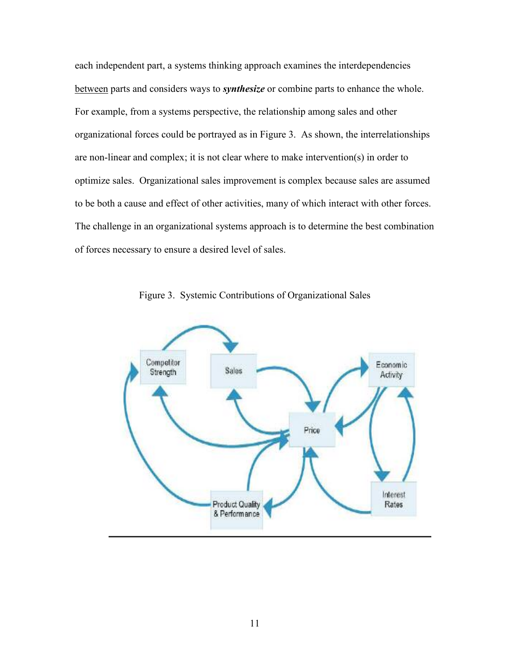each independent part, a systems thinking approach examines the interdependencies between parts and considers ways to *synthesize* or combine parts to enhance the whole. For example, from a systems perspective, the relationship among sales and other organizational forces could be portrayed as in Figure 3. As shown, the interrelationships are non-linear and complex; it is not clear where to make intervention(s) in order to optimize sales. Organizational sales improvement is complex because sales are assumed to be both a cause and effect of other activities, many of which interact with other forces. The challenge in an organizational systems approach is to determine the best combination of forces necessary to ensure a desired level of sales.



Figure 3. Systemic Contributions of Organizational Sales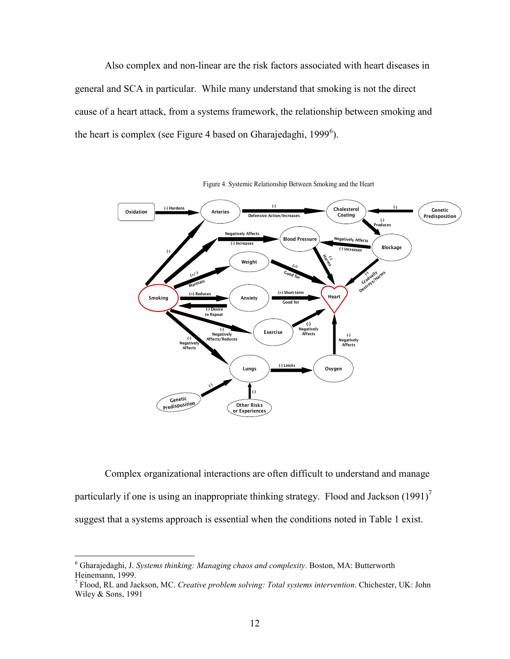Also complex and non-linear are the risk factors associated with heart diseases in general and SCA in particular. While many understand that smoking is not the direct cause of a heart attack, from a systems framework, the relationship between smoking and the heart is complex (see Figure 4 based on Gharajedaghi, 1999 $^6$ ).



Figure 4. Systemic Relationship Between Smoking and the Heart

Complex organizational interactions are often difficult to understand and manage particularly if one is using an inappropriate thinking strategy. Flood and Jackson  $(1991)^7$ suggest that a systems approach is essential when the conditions noted in Table 1 exist.

<sup>6</sup> Gharajedaghi, J. *Systems thinking: Managing chaos and complexity*. Boston, MA: Butterworth Heinemann, 1999.

<sup>7</sup> Flood, RL and Jackson, MC. *Creative problem solving: Total systems intervention*. Chichester, UK: John Wiley & Sons, 1991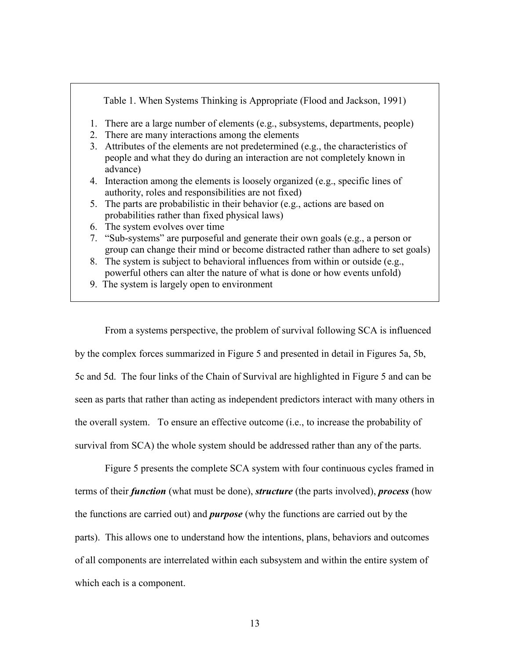Table 1. When Systems Thinking is Appropriate (Flood and Jackson, 1991) 1. There are a large number of elements (e.g., subsystems, departments, people) 2. There are many interactions among the elements 3. Attributes of the elements are not predetermined (e.g., the characteristics of people and what they do during an interaction are not completely known in advance) 4. Interaction among the elements is loosely organized (e.g., specific lines of authority, roles and responsibilities are not fixed) 5. The parts are probabilistic in their behavior (e.g., actions are based on probabilities rather than fixed physical laws) 6. The system evolves over time 7. "Sub-systems" are purposeful and generate their own goals (e.g., a person or group can change their mind or become distracted rather than adhere to set goals)

- 8. The system is subject to behavioral influences from within or outside (e.g., powerful others can alter the nature of what is done or how events unfold)
- 9. The system is largely open to environment

From a systems perspective, the problem of survival following SCA is influenced by the complex forces summarized in Figure 5 and presented in detail in Figures 5a, 5b, 5c and 5d. The four links of the Chain of Survival are highlighted in Figure 5 and can be seen as parts that rather than acting as independent predictors interact with many others in the overall system. To ensure an effective outcome (i.e., to increase the probability of survival from SCA) the whole system should be addressed rather than any of the parts.

Figure 5 presents the complete SCA system with four continuous cycles framed in terms of their *function* (what must be done), *structure* (the parts involved), *process* (how the functions are carried out) and *purpose* (why the functions are carried out by the parts). This allows one to understand how the intentions, plans, behaviors and outcomes of all components are interrelated within each subsystem and within the entire system of which each is a component.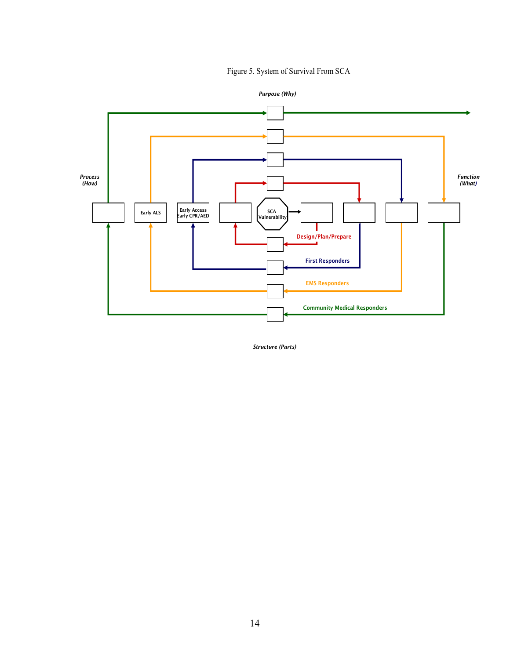## Figure 5. System of Survival From SCA



*Purpose (Why)*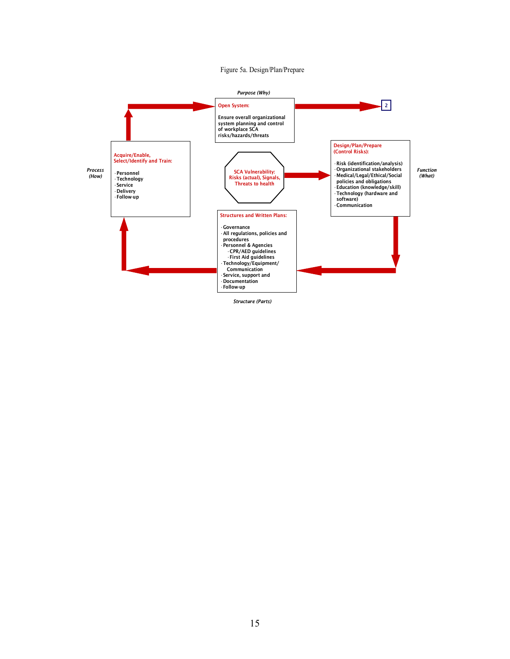#### Figure 5a. Design/Plan/Prepare

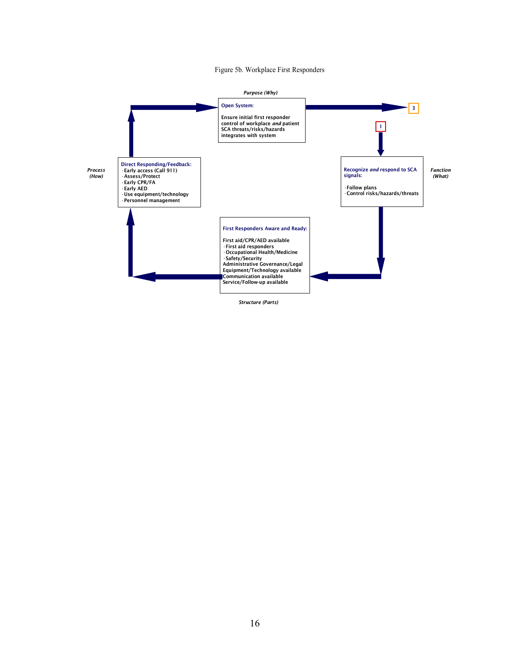#### Figure 5b. Workplace First Responders

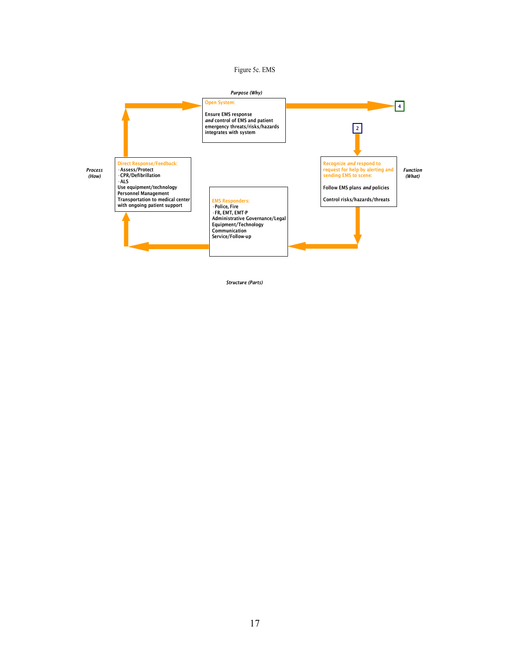#### Figure 5c. EMS

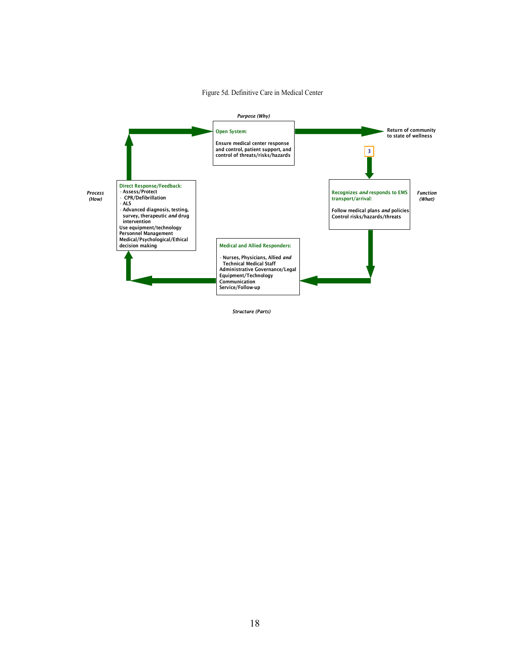

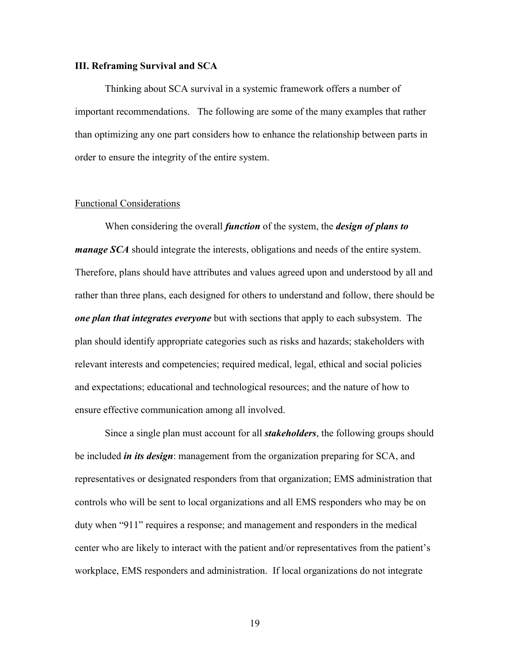#### **III. Reframing Survival and SCA**

 Thinking about SCA survival in a systemic framework offers a number of important recommendations. The following are some of the many examples that rather than optimizing any one part considers how to enhance the relationship between parts in order to ensure the integrity of the entire system.

#### Functional Considerations

When considering the overall *function* of the system, the *design of plans to manage SCA* should integrate the interests, obligations and needs of the entire system. Therefore, plans should have attributes and values agreed upon and understood by all and rather than three plans, each designed for others to understand and follow, there should be *one plan that integrates everyone* but with sections that apply to each subsystem. The plan should identify appropriate categories such as risks and hazards; stakeholders with relevant interests and competencies; required medical, legal, ethical and social policies and expectations; educational and technological resources; and the nature of how to ensure effective communication among all involved.

Since a single plan must account for all *stakeholders*, the following groups should be included *in its design*: management from the organization preparing for SCA, and representatives or designated responders from that organization; EMS administration that controls who will be sent to local organizations and all EMS responders who may be on duty when "911" requires a response; and management and responders in the medical center who are likely to interact with the patient and/or representatives from the patient's workplace, EMS responders and administration. If local organizations do not integrate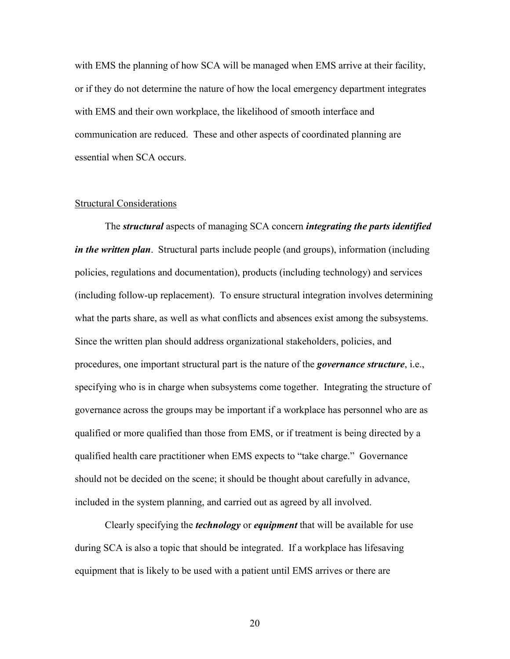with EMS the planning of how SCA will be managed when EMS arrive at their facility, or if they do not determine the nature of how the local emergency department integrates with EMS and their own workplace, the likelihood of smooth interface and communication are reduced. These and other aspects of coordinated planning are essential when SCA occurs.

#### Structural Considerations

The *structural* aspects of managing SCA concern *integrating the parts identified in the written plan*. Structural parts include people (and groups), information (including policies, regulations and documentation), products (including technology) and services (including follow-up replacement). To ensure structural integration involves determining what the parts share, as well as what conflicts and absences exist among the subsystems. Since the written plan should address organizational stakeholders, policies, and procedures, one important structural part is the nature of the *governance structure*, i.e., specifying who is in charge when subsystems come together. Integrating the structure of governance across the groups may be important if a workplace has personnel who are as qualified or more qualified than those from EMS, or if treatment is being directed by a qualified health care practitioner when EMS expects to "take charge." Governance should not be decided on the scene; it should be thought about carefully in advance, included in the system planning, and carried out as agreed by all involved.

 Clearly specifying the *technology* or *equipment* that will be available for use during SCA is also a topic that should be integrated. If a workplace has lifesaving equipment that is likely to be used with a patient until EMS arrives or there are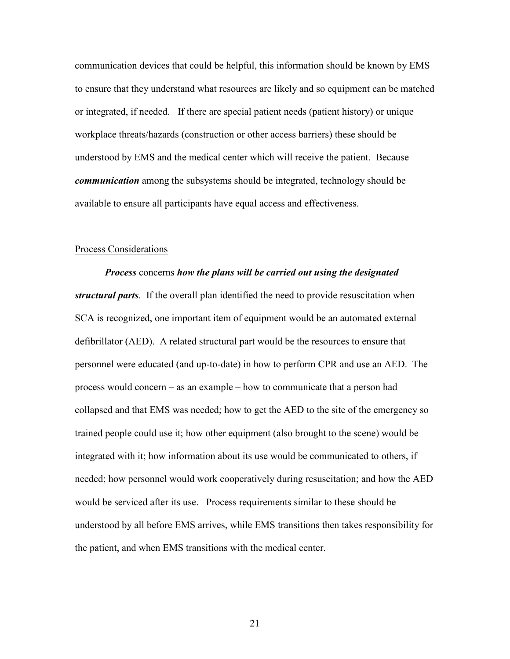communication devices that could be helpful, this information should be known by EMS to ensure that they understand what resources are likely and so equipment can be matched or integrated, if needed. If there are special patient needs (patient history) or unique workplace threats/hazards (construction or other access barriers) these should be understood by EMS and the medical center which will receive the patient. Because *communication* among the subsystems should be integrated, technology should be available to ensure all participants have equal access and effectiveness.

#### Process Considerations

*Process* concerns *how the plans will be carried out using the designated structural parts*. If the overall plan identified the need to provide resuscitation when SCA is recognized, one important item of equipment would be an automated external defibrillator (AED). A related structural part would be the resources to ensure that personnel were educated (and up-to-date) in how to perform CPR and use an AED. The process would concern – as an example – how to communicate that a person had collapsed and that EMS was needed; how to get the AED to the site of the emergency so trained people could use it; how other equipment (also brought to the scene) would be integrated with it; how information about its use would be communicated to others, if needed; how personnel would work cooperatively during resuscitation; and how the AED would be serviced after its use. Process requirements similar to these should be understood by all before EMS arrives, while EMS transitions then takes responsibility for the patient, and when EMS transitions with the medical center.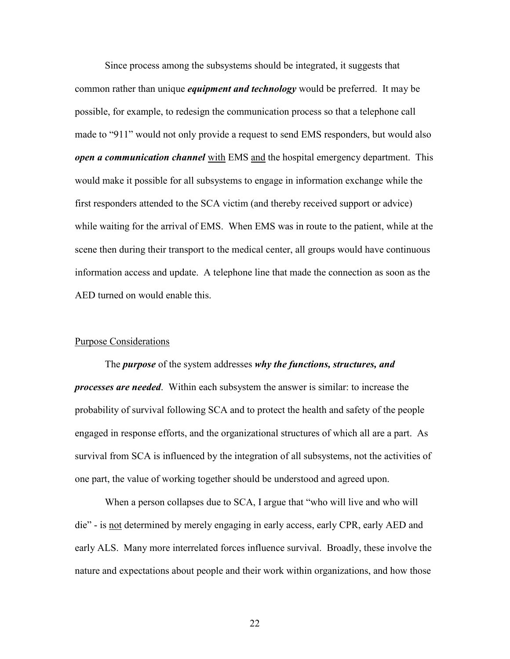Since process among the subsystems should be integrated, it suggests that common rather than unique *equipment and technology* would be preferred. It may be possible, for example, to redesign the communication process so that a telephone call made to "911" would not only provide a request to send EMS responders, but would also *open a communication channel* with EMS and the hospital emergency department. This would make it possible for all subsystems to engage in information exchange while the first responders attended to the SCA victim (and thereby received support or advice) while waiting for the arrival of EMS. When EMS was in route to the patient, while at the scene then during their transport to the medical center, all groups would have continuous information access and update. A telephone line that made the connection as soon as the AED turned on would enable this.

#### Purpose Considerations

The *purpose* of the system addresses *why the functions, structures, and processes are needed*. Within each subsystem the answer is similar: to increase the probability of survival following SCA and to protect the health and safety of the people engaged in response efforts, and the organizational structures of which all are a part. As survival from SCA is influenced by the integration of all subsystems, not the activities of one part, the value of working together should be understood and agreed upon.

When a person collapses due to SCA, I argue that "who will live and who will die" - is not determined by merely engaging in early access, early CPR, early AED and early ALS. Many more interrelated forces influence survival. Broadly, these involve the nature and expectations about people and their work within organizations, and how those